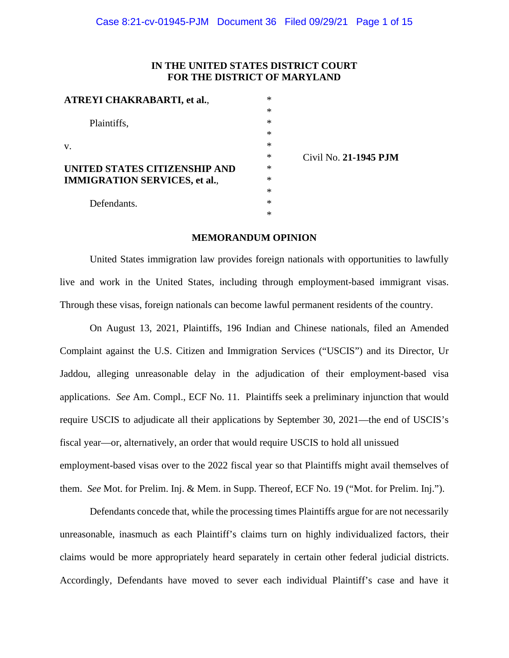# **IN THE UNITED STATES DISTRICT COURT FOR THE DISTRICT OF MARYLAND**

| <b>ATREYI CHAKRABARTI, et al.,</b>   | $\ast$ |                       |
|--------------------------------------|--------|-----------------------|
|                                      | $\ast$ |                       |
| Plaintiffs,                          | $\ast$ |                       |
|                                      | $\ast$ |                       |
| V.                                   | $\ast$ |                       |
|                                      | ∗      | Civil No. 21-1945 PJM |
| UNITED STATES CITIZENSHIP AND        | ∗      |                       |
| <b>IMMIGRATION SERVICES, et al.,</b> | $\ast$ |                       |
|                                      | $\ast$ |                       |
| Defendants.                          | ∗      |                       |
|                                      | ∗      |                       |
|                                      |        |                       |

# **MEMORANDUM OPINION**

United States immigration law provides foreign nationals with opportunities to lawfully live and work in the United States, including through employment-based immigrant visas. Through these visas, foreign nationals can become lawful permanent residents of the country.

On August 13, 2021, Plaintiffs, 196 Indian and Chinese nationals, filed an Amended Complaint against the U.S. Citizen and Immigration Services ("USCIS") and its Director, Ur Jaddou, alleging unreasonable delay in the adjudication of their employment-based visa applications. *See* Am. Compl., ECF No. 11. Plaintiffs seek a preliminary injunction that would require USCIS to adjudicate all their applications by September 30, 2021—the end of USCIS's fiscal year—or, alternatively, an order that would require USCIS to hold all unissued employment-based visas over to the 2022 fiscal year so that Plaintiffs might avail themselves of them. *See* Mot. for Prelim. Inj. & Mem. in Supp. Thereof, ECF No. 19 ("Mot. for Prelim. Inj.").

Defendants concede that, while the processing times Plaintiffs argue for are not necessarily unreasonable, inasmuch as each Plaintiff's claims turn on highly individualized factors, their claims would be more appropriately heard separately in certain other federal judicial districts. Accordingly, Defendants have moved to sever each individual Plaintiff's case and have it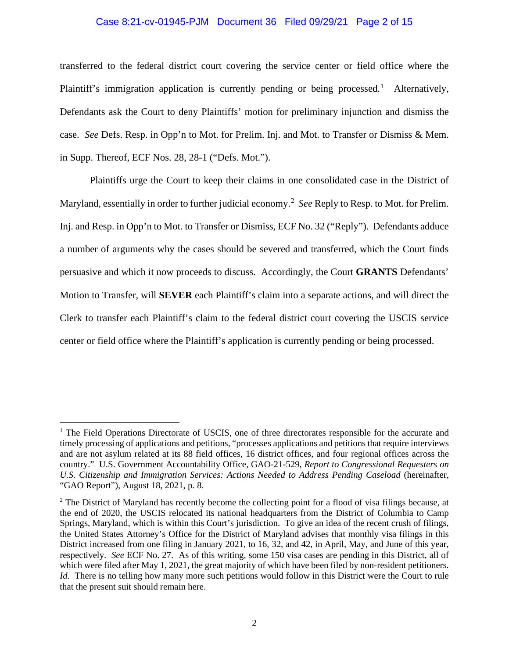# Case 8:21-cv-01945-PJM Document 36 Filed 09/29/21 Page 2 of 15

transferred to the federal district court covering the service center or field office where the Plaintiff's immigration application is currently pending or being processed.<sup>[1](#page-1-0)</sup> Alternatively, Defendants ask the Court to deny Plaintiffs' motion for preliminary injunction and dismiss the case. *See* Defs. Resp. in Opp'n to Mot. for Prelim. Inj. and Mot. to Transfer or Dismiss & Mem. in Supp. Thereof, ECF Nos. 28, 28-1 ("Defs. Mot.").

Plaintiffs urge the Court to keep their claims in one consolidated case in the District of Maryland, essentially in order to further judicial economy.[2](#page-1-1) *See* Reply to Resp. to Mot. for Prelim. Inj. and Resp. in Opp'n to Mot. to Transfer or Dismiss, ECF No. 32 ("Reply"). Defendants adduce a number of arguments why the cases should be severed and transferred, which the Court finds persuasive and which it now proceeds to discuss. Accordingly, the Court **GRANTS** Defendants' Motion to Transfer, will **SEVER** each Plaintiff's claim into a separate actions, and will direct the Clerk to transfer each Plaintiff's claim to the federal district court covering the USCIS service center or field office where the Plaintiff's application is currently pending or being processed.

<span id="page-1-0"></span><sup>&</sup>lt;sup>1</sup> The Field Operations Directorate of USCIS, one of three directorates responsible for the accurate and timely processing of applications and petitions, "processes applications and petitions that require interviews and are not asylum related at its 88 field offices, 16 district offices, and four regional offices across the country." U.S. Government Accountability Office, GAO-21-529, *Report to Congressional Requesters on U.S. Citizenship and Immigration Services: Actions Needed to Address Pending Caseload* (hereinafter, "GAO Report"), August 18, 2021, p. 8.

<span id="page-1-1"></span><sup>&</sup>lt;sup>2</sup> The District of Maryland has recently become the collecting point for a flood of visa filings because, at the end of 2020, the USCIS relocated its national headquarters from the District of Columbia to Camp Springs, Maryland, which is within this Court's jurisdiction. To give an idea of the recent crush of filings, the United States Attorney's Office for the District of Maryland advises that monthly visa filings in this District increased from one filing in January 2021, to 16, 32, and 42, in April, May, and June of this year, respectively. *See* ECF No. 27. As of this writing, some 150 visa cases are pending in this District, all of which were filed after May 1, 2021, the great majority of which have been filed by non-resident petitioners. *Id.* There is no telling how many more such petitions would follow in this District were the Court to rule that the present suit should remain here.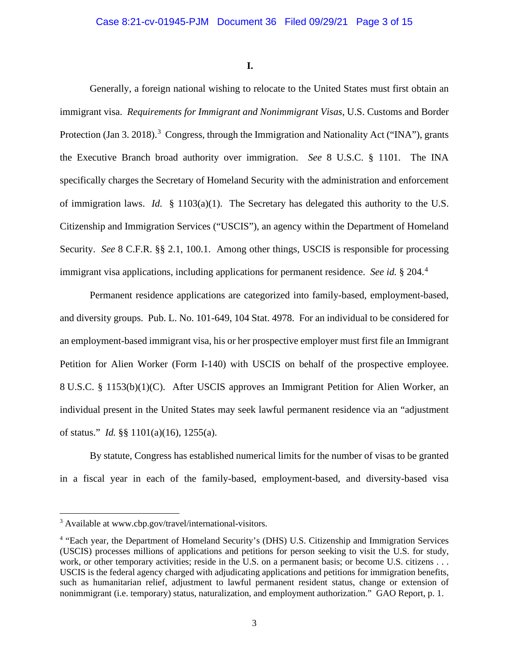**I.**

Generally, a foreign national wishing to relocate to the United States must first obtain an immigrant visa. *Requirements for Immigrant and Nonimmigrant Visas*, U.S. Customs and Border Protection (Jan [3](#page-2-0). 2018).<sup>3</sup> Congress, through the Immigration and Nationality Act ("INA"), grants the Executive Branch broad authority over immigration. *See* 8 U.S.C. § 1101. The INA specifically charges the Secretary of Homeland Security with the administration and enforcement of immigration laws. *Id.* § 1103(a)(1). The Secretary has delegated this authority to the U.S. Citizenship and Immigration Services ("USCIS"), an agency within the Department of Homeland Security. *See* 8 C.F.R. §§ 2.1, 100.1. Among other things, USCIS is responsible for processing immigrant visa applications, including applications for permanent residence. *See id.* § 204.[4](#page-2-1)

Permanent residence applications are categorized into family-based, employment-based, and diversity groups. Pub. L. No. 101-649, 104 Stat. 4978. For an individual to be considered for an employment-based immigrant visa, his or her prospective employer must first file an Immigrant Petition for Alien Worker (Form I-140) with USCIS on behalf of the prospective employee. 8 U.S.C. § 1153(b)(1)(C). After USCIS approves an Immigrant Petition for Alien Worker, an individual present in the United States may seek lawful permanent residence via an "adjustment of status." *Id.* §§ 1101(a)(16), 1255(a).

By statute, Congress has established numerical limits for the number of visas to be granted in a fiscal year in each of the family-based, employment-based, and diversity-based visa

<span id="page-2-0"></span><sup>3</sup> Available at www.cbp.gov/travel/international-visitors.

<span id="page-2-1"></span><sup>4</sup> "Each year, the Department of Homeland Security's (DHS) U.S. Citizenship and Immigration Services (USCIS) processes millions of applications and petitions for person seeking to visit the U.S. for study, work, or other temporary activities; reside in the U.S. on a permanent basis; or become U.S. citizens . . . USCIS is the federal agency charged with adjudicating applications and petitions for immigration benefits, such as humanitarian relief, adjustment to lawful permanent resident status, change or extension of nonimmigrant (i.e. temporary) status, naturalization, and employment authorization." GAO Report, p. 1.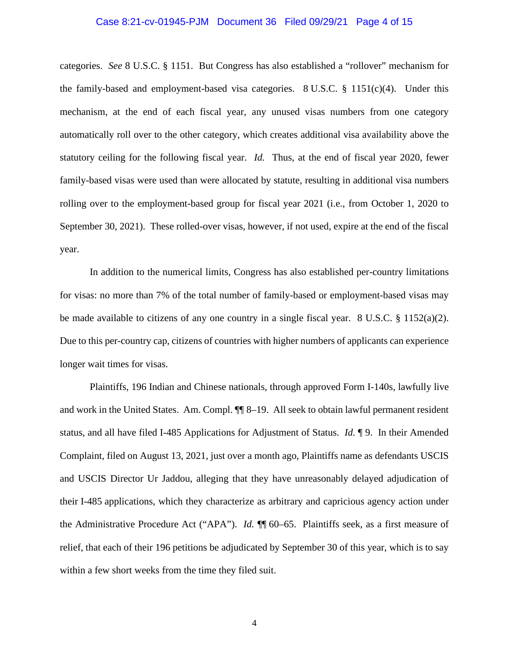#### Case 8:21-cv-01945-PJM Document 36 Filed 09/29/21 Page 4 of 15

categories. *See* 8 U.S.C. § 1151. But Congress has also established a "rollover" mechanism for the family-based and employment-based visa categories. 8 U.S.C.  $\S$  1151(c)(4). Under this mechanism, at the end of each fiscal year, any unused visas numbers from one category automatically roll over to the other category, which creates additional visa availability above the statutory ceiling for the following fiscal year. *Id.* Thus, at the end of fiscal year 2020, fewer family-based visas were used than were allocated by statute, resulting in additional visa numbers rolling over to the employment-based group for fiscal year 2021 (i.e., from October 1, 2020 to September 30, 2021). These rolled-over visas, however, if not used, expire at the end of the fiscal year.

In addition to the numerical limits, Congress has also established per-country limitations for visas: no more than 7% of the total number of family-based or employment-based visas may be made available to citizens of any one country in a single fiscal year.  $8 \text{ U.S.C. } § 1152(a)(2)$ . Due to this per-country cap, citizens of countries with higher numbers of applicants can experience longer wait times for visas.

Plaintiffs, 196 Indian and Chinese nationals, through approved Form I-140s, lawfully live and work in the United States. Am. Compl. ¶¶ 8–19. All seek to obtain lawful permanent resident status, and all have filed I-485 Applications for Adjustment of Status. *Id.* ¶ 9. In their Amended Complaint, filed on August 13, 2021, just over a month ago, Plaintiffs name as defendants USCIS and USCIS Director Ur Jaddou, alleging that they have unreasonably delayed adjudication of their I-485 applications, which they characterize as arbitrary and capricious agency action under the Administrative Procedure Act ("APA"). *Id.* ¶¶ 60–65. Plaintiffs seek, as a first measure of relief, that each of their 196 petitions be adjudicated by September 30 of this year, which is to say within a few short weeks from the time they filed suit.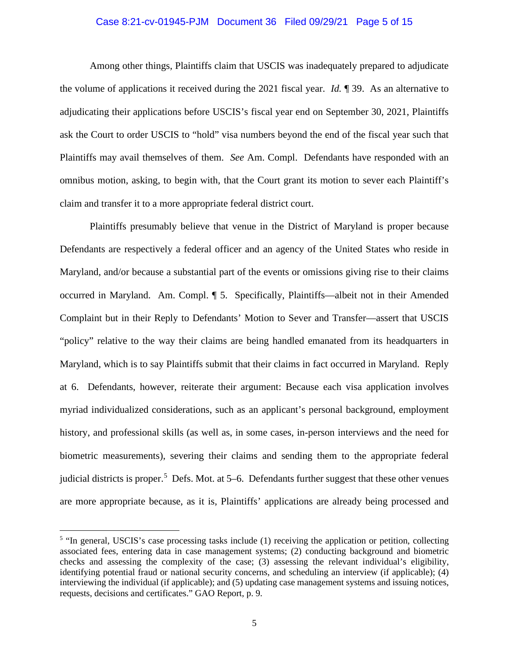# Case 8:21-cv-01945-PJM Document 36 Filed 09/29/21 Page 5 of 15

Among other things, Plaintiffs claim that USCIS was inadequately prepared to adjudicate the volume of applications it received during the 2021 fiscal year. *Id.* ¶ 39. As an alternative to adjudicating their applications before USCIS's fiscal year end on September 30, 2021, Plaintiffs ask the Court to order USCIS to "hold" visa numbers beyond the end of the fiscal year such that Plaintiffs may avail themselves of them. *See* Am. Compl. Defendants have responded with an omnibus motion, asking, to begin with, that the Court grant its motion to sever each Plaintiff's claim and transfer it to a more appropriate federal district court.

Plaintiffs presumably believe that venue in the District of Maryland is proper because Defendants are respectively a federal officer and an agency of the United States who reside in Maryland, and/or because a substantial part of the events or omissions giving rise to their claims occurred in Maryland. Am. Compl. ¶ 5. Specifically, Plaintiffs—albeit not in their Amended Complaint but in their Reply to Defendants' Motion to Sever and Transfer—assert that USCIS "policy" relative to the way their claims are being handled emanated from its headquarters in Maryland, which is to say Plaintiffs submit that their claims in fact occurred in Maryland. Reply at 6. Defendants, however, reiterate their argument: Because each visa application involves myriad individualized considerations, such as an applicant's personal background, employment history, and professional skills (as well as, in some cases, in-person interviews and the need for biometric measurements), severing their claims and sending them to the appropriate federal judicial districts is proper.<sup>[5](#page-4-0)</sup> Defs. Mot. at 5–6. Defendants further suggest that these other venues are more appropriate because, as it is, Plaintiffs' applications are already being processed and

<span id="page-4-0"></span><sup>&</sup>lt;sup>5</sup> "In general, USCIS's case processing tasks include (1) receiving the application or petition, collecting associated fees, entering data in case management systems; (2) conducting background and biometric checks and assessing the complexity of the case; (3) assessing the relevant individual's eligibility, identifying potential fraud or national security concerns, and scheduling an interview (if applicable); (4) interviewing the individual (if applicable); and (5) updating case management systems and issuing notices, requests, decisions and certificates." GAO Report, p. 9.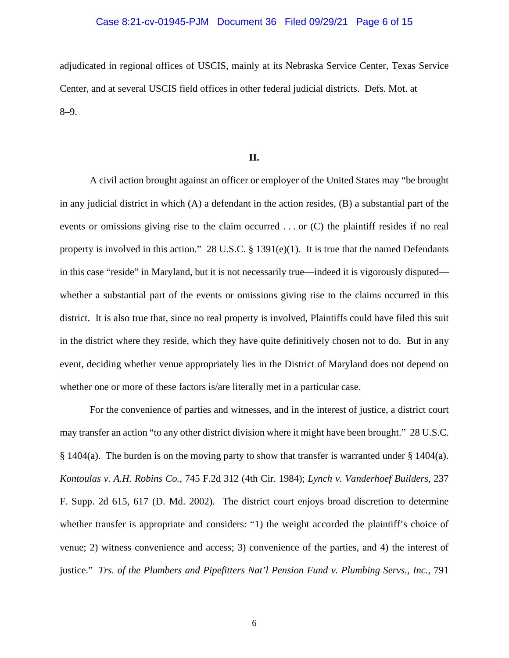#### Case 8:21-cv-01945-PJM Document 36 Filed 09/29/21 Page 6 of 15

adjudicated in regional offices of USCIS, mainly at its Nebraska Service Center, Texas Service Center, and at several USCIS field offices in other federal judicial districts. Defs. Mot. at 8–9.

# **II.**

A civil action brought against an officer or employer of the United States may "be brought in any judicial district in which (A) a defendant in the action resides, (B) a substantial part of the events or omissions giving rise to the claim occurred . . . or (C) the plaintiff resides if no real property is involved in this action." 28 U.S.C. § 1391(e)(1). It is true that the named Defendants in this case "reside" in Maryland, but it is not necessarily true—indeed it is vigorously disputed whether a substantial part of the events or omissions giving rise to the claims occurred in this district. It is also true that, since no real property is involved, Plaintiffs could have filed this suit in the district where they reside, which they have quite definitively chosen not to do. But in any event, deciding whether venue appropriately lies in the District of Maryland does not depend on whether one or more of these factors is/are literally met in a particular case.

For the convenience of parties and witnesses, and in the interest of justice, a district court may transfer an action "to any other district division where it might have been brought." 28 U.S.C. § 1404(a). The burden is on the moving party to show that transfer is warranted under § 1404(a). *Kontoulas v. A.H. Robins Co.*, 745 F.2d 312 (4th Cir. 1984); *Lynch v. Vanderhoef Builders,* 237 F. Supp. 2d 615, 617 (D. Md. 2002). The district court enjoys broad discretion to determine whether transfer is appropriate and considers: "1) the weight accorded the plaintiff's choice of venue; 2) witness convenience and access; 3) convenience of the parties, and 4) the interest of justice." *Trs. of the Plumbers and Pipefitters Nat'l Pension Fund v. Plumbing Servs., Inc.*, 791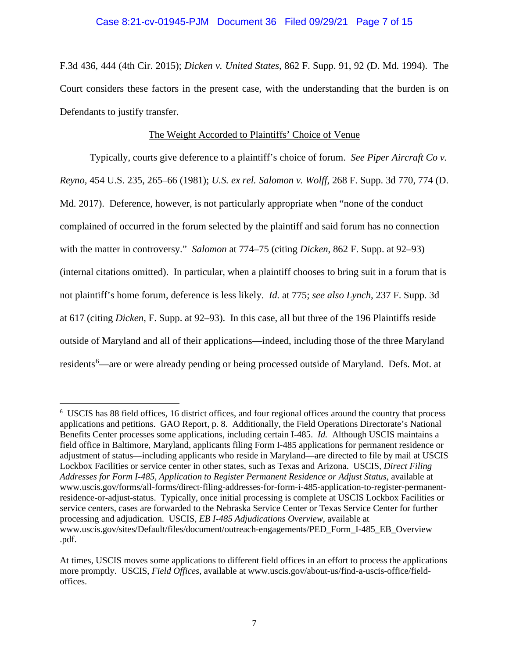# Case 8:21-cv-01945-PJM Document 36 Filed 09/29/21 Page 7 of 15

F.3d 436, 444 (4th Cir. 2015); *Dicken v. United States*, 862 F. Supp. 91, 92 (D. Md. 1994). The Court considers these factors in the present case, with the understanding that the burden is on Defendants to justify transfer.

# The Weight Accorded to Plaintiffs' Choice of Venue

Typically, courts give deference to a plaintiff's choice of forum. *See Piper Aircraft Co v. Reyno,* 454 U.S. 235, 265–66 (1981); *U.S. ex rel. Salomon v. Wolff*, 268 F. Supp. 3d 770, 774 (D. Md. 2017). Deference, however, is not particularly appropriate when "none of the conduct complained of occurred in the forum selected by the plaintiff and said forum has no connection with the matter in controversy." *Salomon* at 774–75 (citing *Dicken*, 862 F. Supp. at 92–93) (internal citations omitted). In particular, when a plaintiff chooses to bring suit in a forum that is not plaintiff's home forum, deference is less likely. *Id.* at 775; *see also Lynch*, 237 F. Supp. 3d at 617 (citing *Dicken*, F. Supp. at 92–93). In this case, all but three of the 196 Plaintiffs reside outside of Maryland and all of their applications—indeed, including those of the three Maryland residents<sup>[6](#page-6-0)</sup>—are or were already pending or being processed outside of Maryland. Defs. Mot. at

<span id="page-6-0"></span><sup>6</sup> USCIS has 88 field offices, 16 district offices, and four regional offices around the country that process applications and petitions. GAO Report, p. 8. Additionally, the Field Operations Directorate's National Benefits Center processes some applications, including certain I-485. *Id.* Although USCIS maintains a field office in Baltimore, Maryland, applicants filing Form I-485 applications for permanent residence or adjustment of status—including applicants who reside in Maryland—are directed to file by mail at USCIS Lockbox Facilities or service center in other states, such as Texas and Arizona. USCIS, *Direct Filing Addresses for Form I-485, Application to Register Permanent Residence or Adjust Status*, available at www.uscis.gov/forms/all-forms/direct-filing-addresses-for-form-i-485-application-to-register-permanentresidence-or-adjust-status. Typically, once initial processing is complete at USCIS Lockbox Facilities or service centers, cases are forwarded to the Nebraska Service Center or Texas Service Center for further processing and adjudication. USCIS, *EB I-485 Adjudications Overview*, available at www.uscis.gov/sites/Default/files/document/outreach-engagements/PED\_Form\_I-485\_EB\_Overview .pdf.

At times, USCIS moves some applications to different field offices in an effort to process the applications more promptly. USCIS, *Field Offices*, available at www.uscis.gov/about-us/find-a-uscis-office/fieldoffices.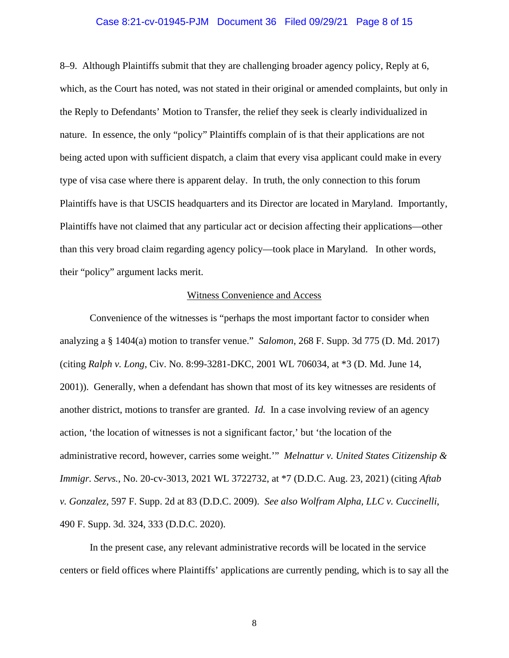#### Case 8:21-cv-01945-PJM Document 36 Filed 09/29/21 Page 8 of 15

8–9. Although Plaintiffs submit that they are challenging broader agency policy, Reply at 6, which, as the Court has noted, was not stated in their original or amended complaints, but only in the Reply to Defendants' Motion to Transfer, the relief they seek is clearly individualized in nature. In essence, the only "policy" Plaintiffs complain of is that their applications are not being acted upon with sufficient dispatch, a claim that every visa applicant could make in every type of visa case where there is apparent delay. In truth, the only connection to this forum Plaintiffs have is that USCIS headquarters and its Director are located in Maryland. Importantly, Plaintiffs have not claimed that any particular act or decision affecting their applications—other than this very broad claim regarding agency policy—took place in Maryland. In other words, their "policy" argument lacks merit.

#### Witness Convenience and Access

Convenience of the witnesses is "perhaps the most important factor to consider when analyzing a § 1404(a) motion to transfer venue." *Salomon*, 268 F. Supp. 3d 775 (D. Md. 2017) (citing *Ralph v. Long*, Civ. No. 8:99-3281-DKC, 2001 WL 706034, at \*3 (D. Md. June 14, 2001)). Generally, when a defendant has shown that most of its key witnesses are residents of another district, motions to transfer are granted. *Id.* In a case involving review of an agency action, 'the location of witnesses is not a significant factor,' but 'the location of the administrative record, however, carries some weight.'" *Melnattur v. United States Citizenship & Immigr. Servs.*, No. 20-cv-3013, 2021 WL 3722732, at \*7 (D.D.C. Aug. 23, 2021) (citing *Aftab v. Gonzalez*, 597 F. Supp. 2d at 83 (D.D.C. 2009). *See also Wolfram Alpha, LLC v. Cuccinelli*, 490 F. Supp. 3d. 324, 333 (D.D.C. 2020).

In the present case, any relevant administrative records will be located in the service centers or field offices where Plaintiffs' applications are currently pending, which is to say all the

8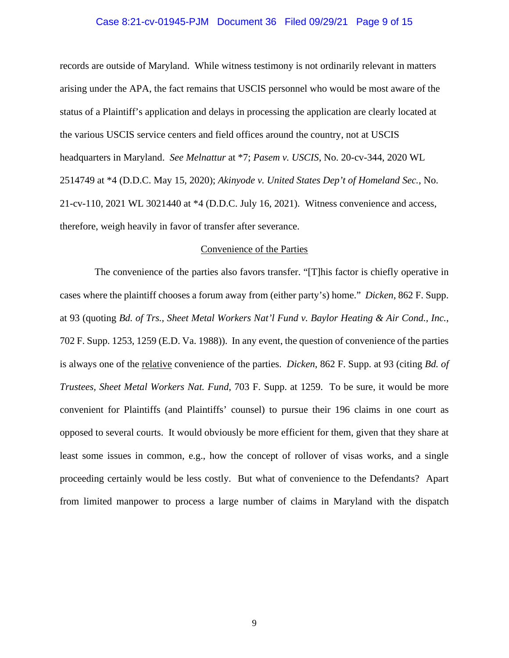#### Case 8:21-cv-01945-PJM Document 36 Filed 09/29/21 Page 9 of 15

records are outside of Maryland. While witness testimony is not ordinarily relevant in matters arising under the APA, the fact remains that USCIS personnel who would be most aware of the status of a Plaintiff's application and delays in processing the application are clearly located at the various USCIS service centers and field offices around the country, not at USCIS headquarters in Maryland. *See Melnattur* at \*7; *Pasem v. USCIS*, No. 20-cv-344, 2020 WL 2514749 at \*4 (D.D.C. May 15, 2020); *Akinyode v. United States Dep't of Homeland Sec.*, No. 21-cv-110, 2021 WL 3021440 at \*4 (D.D.C. July 16, 2021). Witness convenience and access, therefore, weigh heavily in favor of transfer after severance.

#### Convenience of the Parties

 The convenience of the parties also favors transfer. "[T]his factor is chiefly operative in cases where the plaintiff chooses a forum away from (either party's) home." *Dicken*, 862 F. Supp. at 93 (quoting *Bd. of Trs., Sheet Metal Workers Nat'l Fund v. Baylor Heating & Air Cond., Inc.*, 702 F. Supp. 1253, 1259 (E.D. Va. 1988)). In any event, the question of convenience of the parties is always one of the relative convenience of the parties. *Dicken*, 862 F. Supp. at 93 (citing *Bd. of Trustees, Sheet Metal Workers Nat. Fund*, 703 F. Supp. at 1259. To be sure, it would be more convenient for Plaintiffs (and Plaintiffs' counsel) to pursue their 196 claims in one court as opposed to several courts. It would obviously be more efficient for them, given that they share at least some issues in common, e.g., how the concept of rollover of visas works, and a single proceeding certainly would be less costly. But what of convenience to the Defendants? Apart from limited manpower to process a large number of claims in Maryland with the dispatch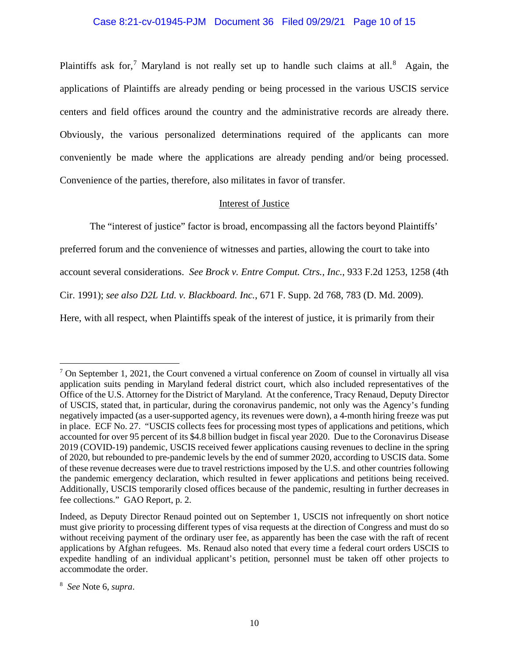# Case 8:21-cv-01945-PJM Document 36 Filed 09/29/21 Page 10 of 15

Plaintiffs ask for,<sup>[7](#page-9-0)</sup> Maryland is not really set up to handle such claims at all.<sup>[8](#page-9-1)</sup> Again, the applications of Plaintiffs are already pending or being processed in the various USCIS service centers and field offices around the country and the administrative records are already there. Obviously, the various personalized determinations required of the applicants can more conveniently be made where the applications are already pending and/or being processed. Convenience of the parties, therefore, also militates in favor of transfer.

# Interest of Justice

The "interest of justice" factor is broad, encompassing all the factors beyond Plaintiffs'

preferred forum and the convenience of witnesses and parties, allowing the court to take into

account several considerations. *See Brock v. Entre Comput. Ctrs., Inc.*, 933 F.2d 1253, 1258 (4th

Cir. 1991); *see also D2L Ltd. v. Blackboard. Inc.*, 671 F. Supp. 2d 768, 783 (D. Md. 2009).

Here, with all respect, when Plaintiffs speak of the interest of justice, it is primarily from their

<span id="page-9-0"></span><sup>7</sup> On September 1, 2021, the Court convened a virtual conference on Zoom of counsel in virtually all visa application suits pending in Maryland federal district court, which also included representatives of the Office of the U.S. Attorney for the District of Maryland. At the conference, Tracy Renaud, Deputy Director of USCIS, stated that, in particular, during the coronavirus pandemic, not only was the Agency's funding negatively impacted (as a user-supported agency, its revenues were down), a 4-month hiring freeze was put in place. ECF No. 27. "USCIS collects fees for processing most types of applications and petitions, which accounted for over 95 percent of its \$4.8 billion budget in fiscal year 2020. Due to the Coronavirus Disease 2019 (COVID-19) pandemic, USCIS received fewer applications causing revenues to decline in the spring of 2020, but rebounded to pre-pandemic levels by the end of summer 2020, according to USCIS data. Some of these revenue decreases were due to travel restrictions imposed by the U.S. and other countries following the pandemic emergency declaration, which resulted in fewer applications and petitions being received. Additionally, USCIS temporarily closed offices because of the pandemic, resulting in further decreases in fee collections." GAO Report, p. 2.

Indeed, as Deputy Director Renaud pointed out on September 1, USCIS not infrequently on short notice must give priority to processing different types of visa requests at the direction of Congress and must do so without receiving payment of the ordinary user fee, as apparently has been the case with the raft of recent applications by Afghan refugees. Ms. Renaud also noted that every time a federal court orders USCIS to expedite handling of an individual applicant's petition, personnel must be taken off other projects to accommodate the order.

<span id="page-9-1"></span><sup>8</sup> *See* Note 6, *supra*.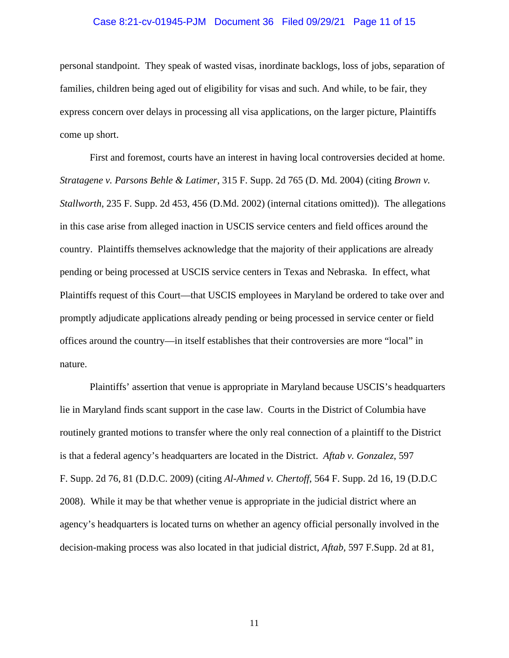### Case 8:21-cv-01945-PJM Document 36 Filed 09/29/21 Page 11 of 15

personal standpoint. They speak of wasted visas, inordinate backlogs, loss of jobs, separation of families, children being aged out of eligibility for visas and such. And while, to be fair, they express concern over delays in processing all visa applications, on the larger picture, Plaintiffs come up short.

First and foremost, courts have an interest in having local controversies decided at home. *Stratagene v. Parsons Behle & Latimer*, 315 F. Supp. 2d 765 (D. Md. 2004) (citing *Brown v. Stallworth*, 235 F. Supp. 2d 453, 456 (D.Md. 2002) (internal citations omitted)). The allegations in this case arise from alleged inaction in USCIS service centers and field offices around the country. Plaintiffs themselves acknowledge that the majority of their applications are already pending or being processed at USCIS service centers in Texas and Nebraska. In effect, what Plaintiffs request of this Court—that USCIS employees in Maryland be ordered to take over and promptly adjudicate applications already pending or being processed in service center or field offices around the country—in itself establishes that their controversies are more "local" in nature.

Plaintiffs' assertion that venue is appropriate in Maryland because USCIS's headquarters lie in Maryland finds scant support in the case law. Courts in the District of Columbia have routinely granted motions to transfer where the only real connection of a plaintiff to the District is that a federal agency's headquarters are located in the District. *Aftab v. Gonzalez*, 597 F. Supp. 2d 76, 81 (D.D.C. 2009) (citing *Al-Ahmed v. Chertoff*, 564 F. Supp. 2d 16, 19 (D.D.C 2008). While it may be that whether venue is appropriate in the judicial district where an agency's headquarters is located turns on whether an agency official personally involved in the decision-making process was also located in that judicial district, *Aftab,* 597 F.Supp. 2d at 81,

11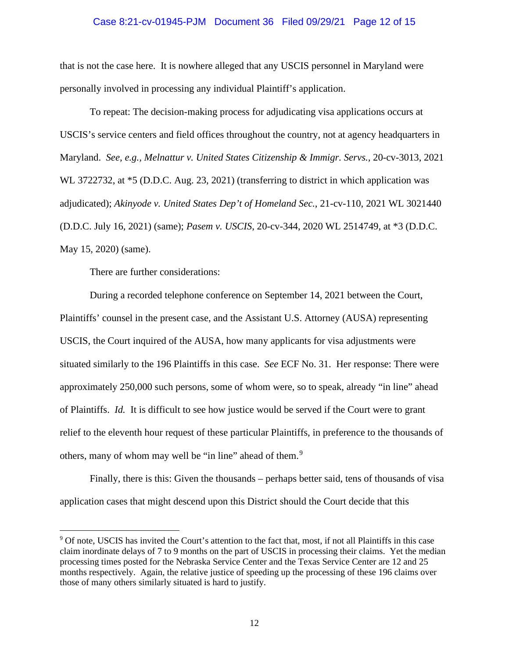### Case 8:21-cv-01945-PJM Document 36 Filed 09/29/21 Page 12 of 15

that is not the case here. It is nowhere alleged that any USCIS personnel in Maryland were personally involved in processing any individual Plaintiff's application.

To repeat: The decision-making process for adjudicating visa applications occurs at USCIS's service centers and field offices throughout the country, not at agency headquarters in Maryland. *See, e.g., Melnattur v. United States Citizenship & Immigr. Servs.,* 20-cv-3013, 2021 WL 3722732, at  $*5$  (D.D.C. Aug. 23, 2021) (transferring to district in which application was adjudicated); *Akinyode v. United States Dep't of Homeland Sec.*, 21-cv-110, 2021 WL 3021440 (D.D.C. July 16, 2021) (same); *Pasem v. USCIS*, 20-cv-344, 2020 WL 2514749, at \*3 (D.D.C. May 15, 2020) (same).

There are further considerations:

During a recorded telephone conference on September 14, 2021 between the Court, Plaintiffs' counsel in the present case, and the Assistant U.S. Attorney (AUSA) representing USCIS, the Court inquired of the AUSA, how many applicants for visa adjustments were situated similarly to the 196 Plaintiffs in this case. *See* ECF No. 31. Her response: There were approximately 250,000 such persons, some of whom were, so to speak, already "in line" ahead of Plaintiffs. *Id.* It is difficult to see how justice would be served if the Court were to grant relief to the eleventh hour request of these particular Plaintiffs, in preference to the thousands of others, many of whom may well be "in line" ahead of them.<sup>[9](#page-11-0)</sup>

Finally, there is this: Given the thousands – perhaps better said, tens of thousands of visa application cases that might descend upon this District should the Court decide that this

<span id="page-11-0"></span><sup>9</sup> Of note, USCIS has invited the Court's attention to the fact that, most, if not all Plaintiffs in this case claim inordinate delays of 7 to 9 months on the part of USCIS in processing their claims. Yet the median processing times posted for the Nebraska Service Center and the Texas Service Center are 12 and 25 months respectively. Again, the relative justice of speeding up the processing of these 196 claims over those of many others similarly situated is hard to justify.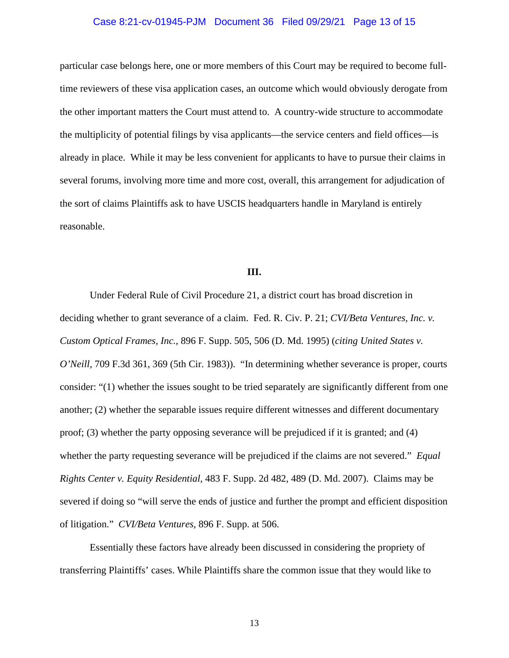### Case 8:21-cv-01945-PJM Document 36 Filed 09/29/21 Page 13 of 15

particular case belongs here, one or more members of this Court may be required to become fulltime reviewers of these visa application cases, an outcome which would obviously derogate from the other important matters the Court must attend to. A country-wide structure to accommodate the multiplicity of potential filings by visa applicants—the service centers and field offices—is already in place. While it may be less convenient for applicants to have to pursue their claims in several forums, involving more time and more cost, overall, this arrangement for adjudication of the sort of claims Plaintiffs ask to have USCIS headquarters handle in Maryland is entirely reasonable.

# **III.**

Under Federal Rule of Civil Procedure 21, a district court has broad discretion in deciding whether to grant severance of a claim. Fed. R. Civ. P. 21; *CVI/Beta Ventures, Inc. v. Custom Optical Frames, Inc.*, 896 F. Supp. 505, 506 (D. Md. 1995) (*citing United States v. O'Neill*, 709 F.3d 361, 369 (5th Cir. 1983)). "In determining whether severance is proper, courts consider: "(1) whether the issues sought to be tried separately are significantly different from one another; (2) whether the separable issues require different witnesses and different documentary proof; (3) whether the party opposing severance will be prejudiced if it is granted; and (4) whether the party requesting severance will be prejudiced if the claims are not severed." *Equal Rights Center v. Equity Residential*, 483 F. Supp. 2d 482, 489 (D. Md. 2007). Claims may be severed if doing so "will serve the ends of justice and further the prompt and efficient disposition of litigation." *CVI/Beta Ventures*, 896 F. Supp. at 506.

Essentially these factors have already been discussed in considering the propriety of transferring Plaintiffs' cases. While Plaintiffs share the common issue that they would like to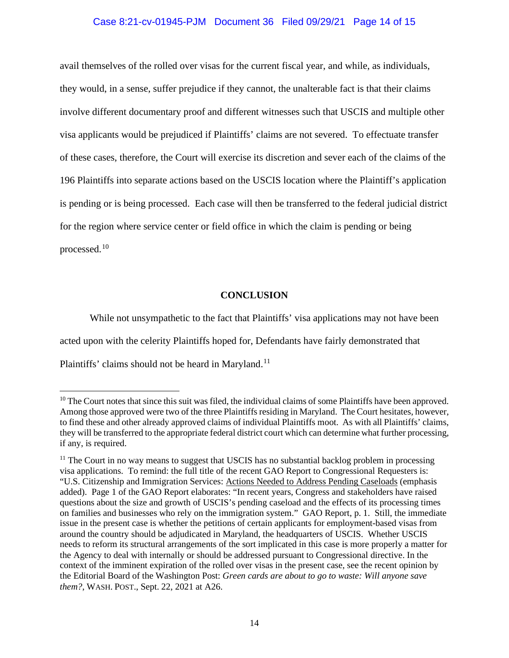# Case 8:21-cv-01945-PJM Document 36 Filed 09/29/21 Page 14 of 15

avail themselves of the rolled over visas for the current fiscal year, and while, as individuals, they would, in a sense, suffer prejudice if they cannot, the unalterable fact is that their claims involve different documentary proof and different witnesses such that USCIS and multiple other visa applicants would be prejudiced if Plaintiffs' claims are not severed. To effectuate transfer of these cases, therefore, the Court will exercise its discretion and sever each of the claims of the 196 Plaintiffs into separate actions based on the USCIS location where the Plaintiff's application is pending or is being processed. Each case will then be transferred to the federal judicial district for the region where service center or field office in which the claim is pending or being processed.[10](#page-13-0)

# **CONCLUSION**

While not unsympathetic to the fact that Plaintiffs' visa applications may not have been acted upon with the celerity Plaintiffs hoped for, Defendants have fairly demonstrated that Plaintiffs' claims should not be heard in Maryland.<sup>[11](#page-13-1)</sup>

<span id="page-13-0"></span><sup>&</sup>lt;sup>10</sup> The Court notes that since this suit was filed, the individual claims of some Plaintiffs have been approved. Among those approved were two of the three Plaintiffs residing in Maryland. The Court hesitates, however, to find these and other already approved claims of individual Plaintiffs moot. As with all Plaintiffs' claims, they will be transferred to the appropriate federal district court which can determine what further processing, if any, is required.

<span id="page-13-1"></span><sup>&</sup>lt;sup>11</sup> The Court in no way means to suggest that USCIS has no substantial backlog problem in processing visa applications. To remind: the full title of the recent GAO Report to Congressional Requesters is: "U.S. Citizenship and Immigration Services: Actions Needed to Address Pending Caseloads (emphasis added). Page 1 of the GAO Report elaborates: "In recent years, Congress and stakeholders have raised questions about the size and growth of USCIS's pending caseload and the effects of its processing times on families and businesses who rely on the immigration system." GAO Report, p. 1. Still, the immediate issue in the present case is whether the petitions of certain applicants for employment-based visas from around the country should be adjudicated in Maryland, the headquarters of USCIS. Whether USCIS needs to reform its structural arrangements of the sort implicated in this case is more properly a matter for the Agency to deal with internally or should be addressed pursuant to Congressional directive. In the context of the imminent expiration of the rolled over visas in the present case, see the recent opinion by the Editorial Board of the Washington Post: *Green cards are about to go to waste: Will anyone save them?*, WASH. POST., Sept. 22, 2021 at A26.